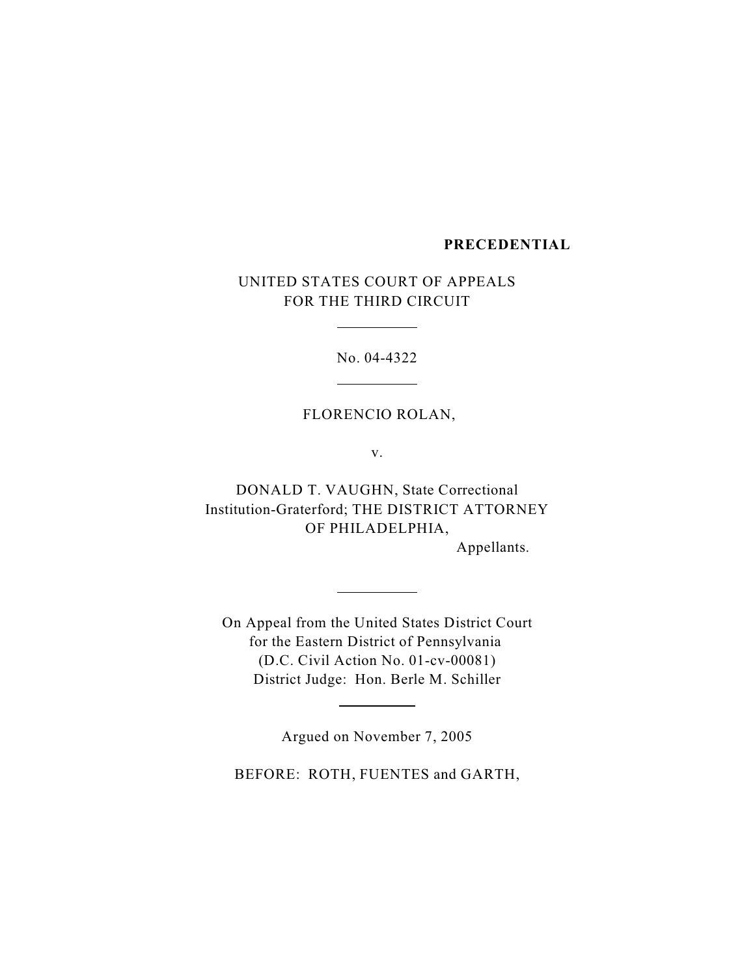## **PRECEDENTIAL**

UNITED STATES COURT OF APPEALS FOR THE THIRD CIRCUIT

 $\overline{a}$ 

 $\overline{a}$ 

 $\overline{a}$ 

l

No. 04-4322

### FLORENCIO ROLAN,

v.

DONALD T. VAUGHN, State Correctional Institution-Graterford; THE DISTRICT ATTORNEY OF PHILADELPHIA,

Appellants.

On Appeal from the United States District Court for the Eastern District of Pennsylvania (D.C. Civil Action No. 01-cv-00081) District Judge: Hon. Berle M. Schiller

Argued on November 7, 2005

BEFORE: ROTH, FUENTES and GARTH,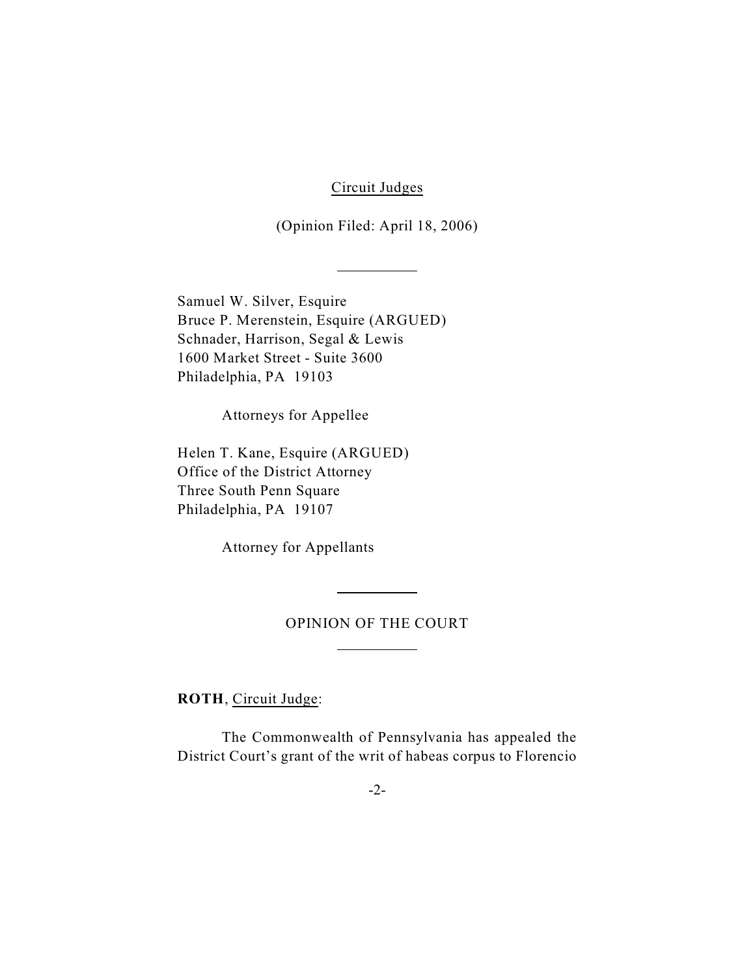Circuit Judges

(Opinion Filed: April 18, 2006)

Samuel W. Silver, Esquire Bruce P. Merenstein, Esquire (ARGUED) Schnader, Harrison, Segal & Lewis 1600 Market Street - Suite 3600 Philadelphia, PA 19103

 $\overline{a}$ 

Attorneys for Appellee

Helen T. Kane, Esquire (ARGUED) Office of the District Attorney Three South Penn Square Philadelphia, PA 19107

Attorney for Appellants

### OPINION OF THE COURT

 $\overline{a}$ 

 $\overline{a}$ 

**ROTH**, Circuit Judge:

The Commonwealth of Pennsylvania has appealed the District Court's grant of the writ of habeas corpus to Florencio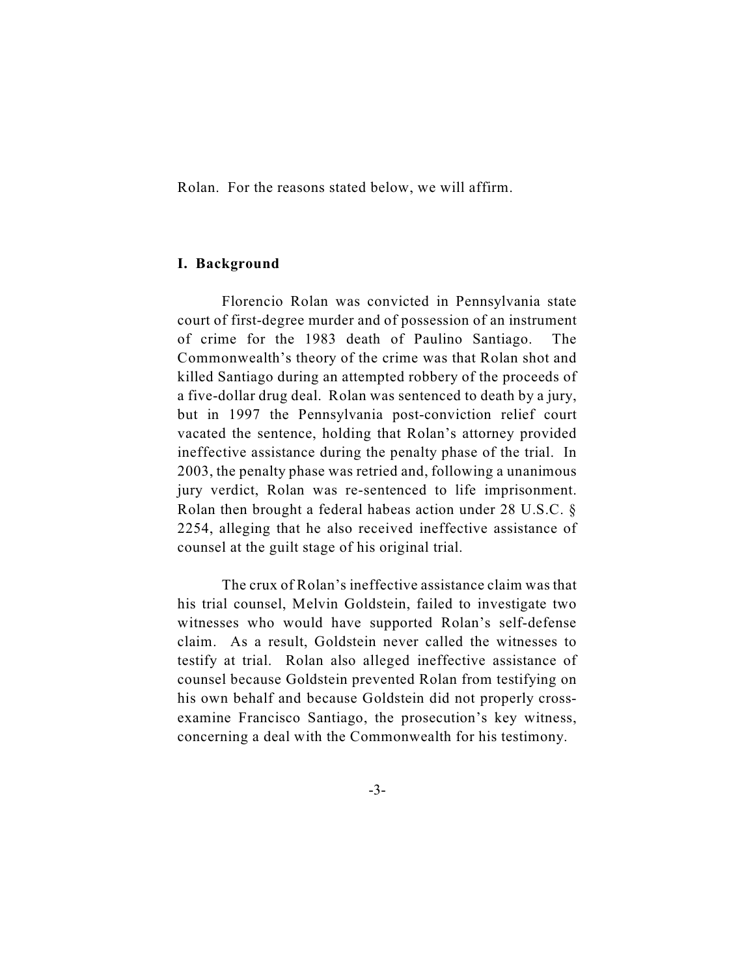Rolan. For the reasons stated below, we will affirm.

### **I. Background**

Florencio Rolan was convicted in Pennsylvania state court of first-degree murder and of possession of an instrument of crime for the 1983 death of Paulino Santiago. The Commonwealth's theory of the crime was that Rolan shot and killed Santiago during an attempted robbery of the proceeds of a five-dollar drug deal. Rolan was sentenced to death by a jury, but in 1997 the Pennsylvania post-conviction relief court vacated the sentence, holding that Rolan's attorney provided ineffective assistance during the penalty phase of the trial. In 2003, the penalty phase was retried and, following a unanimous jury verdict, Rolan was re-sentenced to life imprisonment. Rolan then brought a federal habeas action under 28 U.S.C. § 2254, alleging that he also received ineffective assistance of counsel at the guilt stage of his original trial.

The crux of Rolan's ineffective assistance claim was that his trial counsel, Melvin Goldstein, failed to investigate two witnesses who would have supported Rolan's self-defense claim. As a result, Goldstein never called the witnesses to testify at trial. Rolan also alleged ineffective assistance of counsel because Goldstein prevented Rolan from testifying on his own behalf and because Goldstein did not properly crossexamine Francisco Santiago, the prosecution's key witness, concerning a deal with the Commonwealth for his testimony.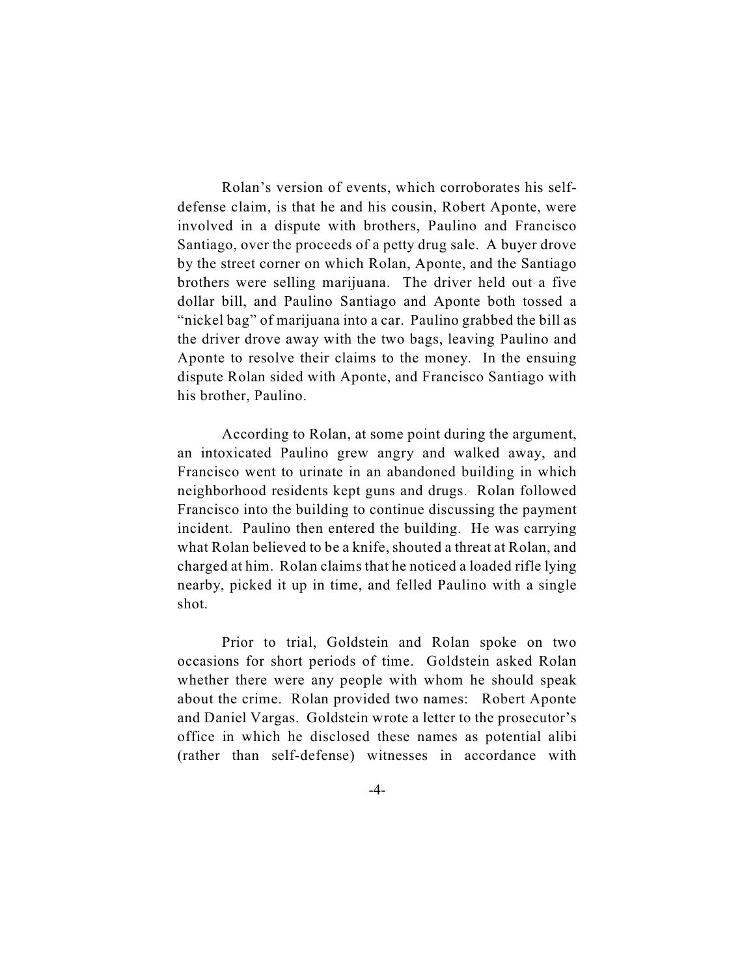Rolan's version of events, which corroborates his selfdefense claim, is that he and his cousin, Robert Aponte, were involved in a dispute with brothers, Paulino and Francisco Santiago, over the proceeds of a petty drug sale. A buyer drove by the street corner on which Rolan, Aponte, and the Santiago brothers were selling marijuana. The driver held out a five dollar bill, and Paulino Santiago and Aponte both tossed a "nickel bag" of marijuana into a car. Paulino grabbed the bill as the driver drove away with the two bags, leaving Paulino and Aponte to resolve their claims to the money. In the ensuing dispute Rolan sided with Aponte, and Francisco Santiago with his brother, Paulino.

According to Rolan, at some point during the argument, an intoxicated Paulino grew angry and walked away, and Francisco went to urinate in an abandoned building in which neighborhood residents kept guns and drugs. Rolan followed Francisco into the building to continue discussing the payment incident. Paulino then entered the building. He was carrying what Rolan believed to be a knife, shouted a threat at Rolan, and charged at him. Rolan claims that he noticed a loaded rifle lying nearby, picked it up in time, and felled Paulino with a single shot.

Prior to trial, Goldstein and Rolan spoke on two occasions for short periods of time. Goldstein asked Rolan whether there were any people with whom he should speak about the crime. Rolan provided two names: Robert Aponte and Daniel Vargas. Goldstein wrote a letter to the prosecutor's office in which he disclosed these names as potential alibi (rather than self-defense) witnesses in accordance with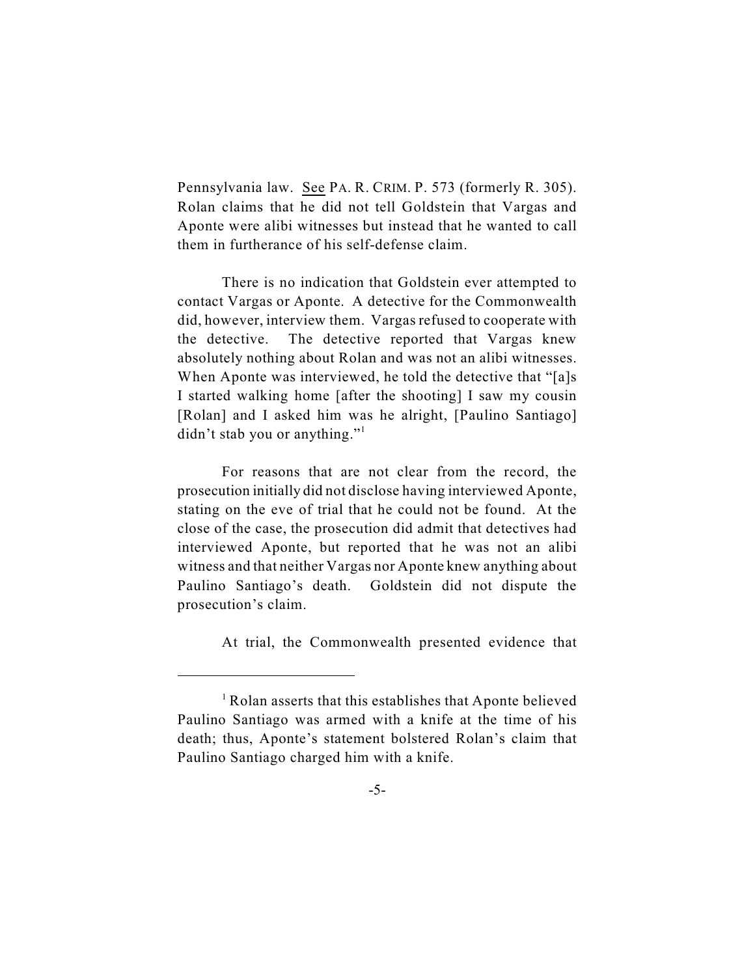Pennsylvania law. See PA. R. CRIM. P. 573 (formerly R. 305). Rolan claims that he did not tell Goldstein that Vargas and Aponte were alibi witnesses but instead that he wanted to call them in furtherance of his self-defense claim.

There is no indication that Goldstein ever attempted to contact Vargas or Aponte. A detective for the Commonwealth did, however, interview them. Vargas refused to cooperate with the detective. The detective reported that Vargas knew absolutely nothing about Rolan and was not an alibi witnesses. When Aponte was interviewed, he told the detective that "[a]s I started walking home [after the shooting] I saw my cousin [Rolan] and I asked him was he alright, [Paulino Santiago] didn't stab you or anything."

For reasons that are not clear from the record, the prosecution initially did not disclose having interviewed Aponte, stating on the eve of trial that he could not be found. At the close of the case, the prosecution did admit that detectives had interviewed Aponte, but reported that he was not an alibi witness and that neither Vargas nor Aponte knew anything about Paulino Santiago's death.Goldstein did not dispute the prosecution's claim.

At trial, the Commonwealth presented evidence that

<sup>&</sup>lt;sup>1</sup> Rolan asserts that this establishes that Aponte believed Paulino Santiago was armed with a knife at the time of his death; thus, Aponte's statement bolstered Rolan's claim that Paulino Santiago charged him with a knife.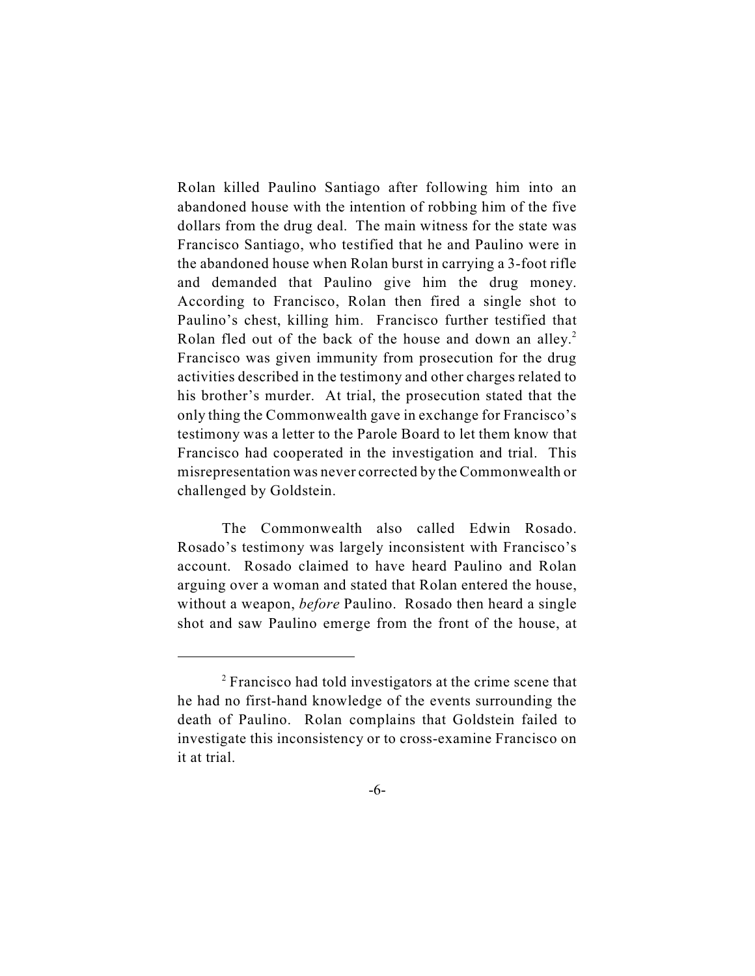Rolan killed Paulino Santiago after following him into an abandoned house with the intention of robbing him of the five dollars from the drug deal. The main witness for the state was Francisco Santiago, who testified that he and Paulino were in the abandoned house when Rolan burst in carrying a 3-foot rifle and demanded that Paulino give him the drug money. According to Francisco, Rolan then fired a single shot to Paulino's chest, killing him. Francisco further testified that Rolan fled out of the back of the house and down an alley.<sup>2</sup> Francisco was given immunity from prosecution for the drug activities described in the testimony and other charges related to his brother's murder. At trial, the prosecution stated that the only thing the Commonwealth gave in exchange for Francisco's testimony was a letter to the Parole Board to let them know that Francisco had cooperated in the investigation and trial. This misrepresentation was never corrected by the Commonwealth or challenged by Goldstein.

The Commonwealth also called Edwin Rosado. Rosado's testimony was largely inconsistent with Francisco's account. Rosado claimed to have heard Paulino and Rolan arguing over a woman and stated that Rolan entered the house, without a weapon, *before* Paulino. Rosado then heard a single shot and saw Paulino emerge from the front of the house, at

<sup>&</sup>lt;sup>2</sup> Francisco had told investigators at the crime scene that he had no first-hand knowledge of the events surrounding the death of Paulino. Rolan complains that Goldstein failed to investigate this inconsistency or to cross-examine Francisco on it at trial.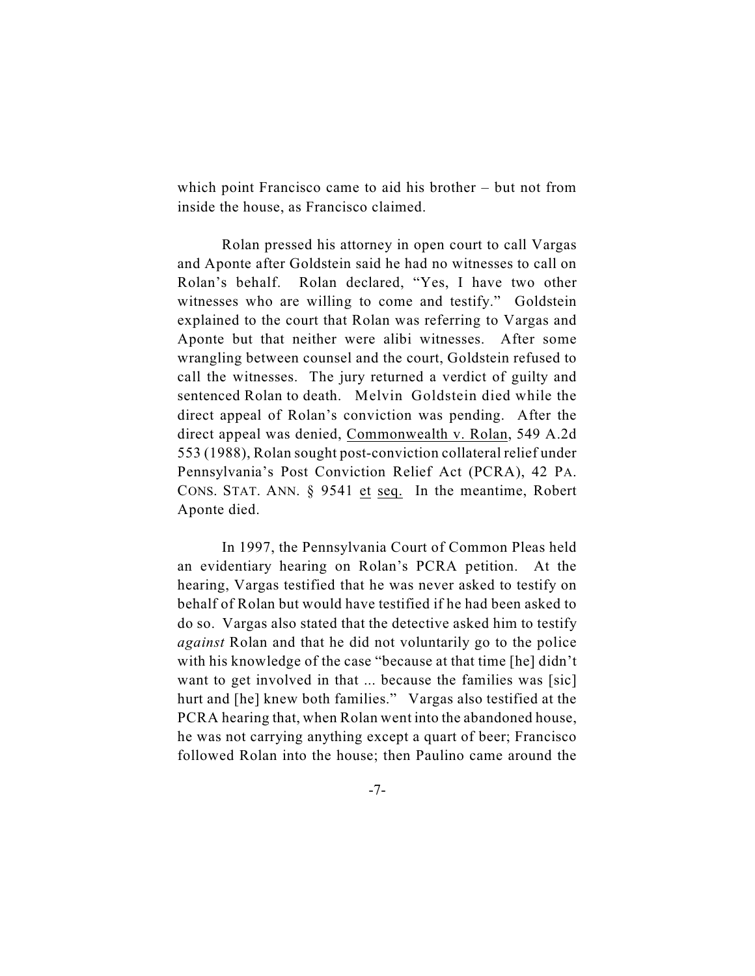which point Francisco came to aid his brother – but not from inside the house, as Francisco claimed.

Rolan pressed his attorney in open court to call Vargas and Aponte after Goldstein said he had no witnesses to call on Rolan's behalf. Rolan declared, "Yes, I have two other witnesses who are willing to come and testify." Goldstein explained to the court that Rolan was referring to Vargas and Aponte but that neither were alibi witnesses. After some wrangling between counsel and the court, Goldstein refused to call the witnesses. The jury returned a verdict of guilty and sentenced Rolan to death. Melvin Goldstein died while the direct appeal of Rolan's conviction was pending. After the direct appeal was denied, Commonwealth v. Rolan, 549 A.2d 553 (1988), Rolan sought post-conviction collateral relief under Pennsylvania's Post Conviction Relief Act (PCRA), 42 PA. CONS. STAT. ANN. § 9541 et seq. In the meantime, Robert Aponte died.

In 1997, the Pennsylvania Court of Common Pleas held an evidentiary hearing on Rolan's PCRA petition. At the hearing, Vargas testified that he was never asked to testify on behalf of Rolan but would have testified if he had been asked to do so. Vargas also stated that the detective asked him to testify *against* Rolan and that he did not voluntarily go to the police with his knowledge of the case "because at that time [he] didn't want to get involved in that ... because the families was [sic] hurt and [he] knew both families." Vargas also testified at the PCRA hearing that, when Rolan went into the abandoned house, he was not carrying anything except a quart of beer; Francisco followed Rolan into the house; then Paulino came around the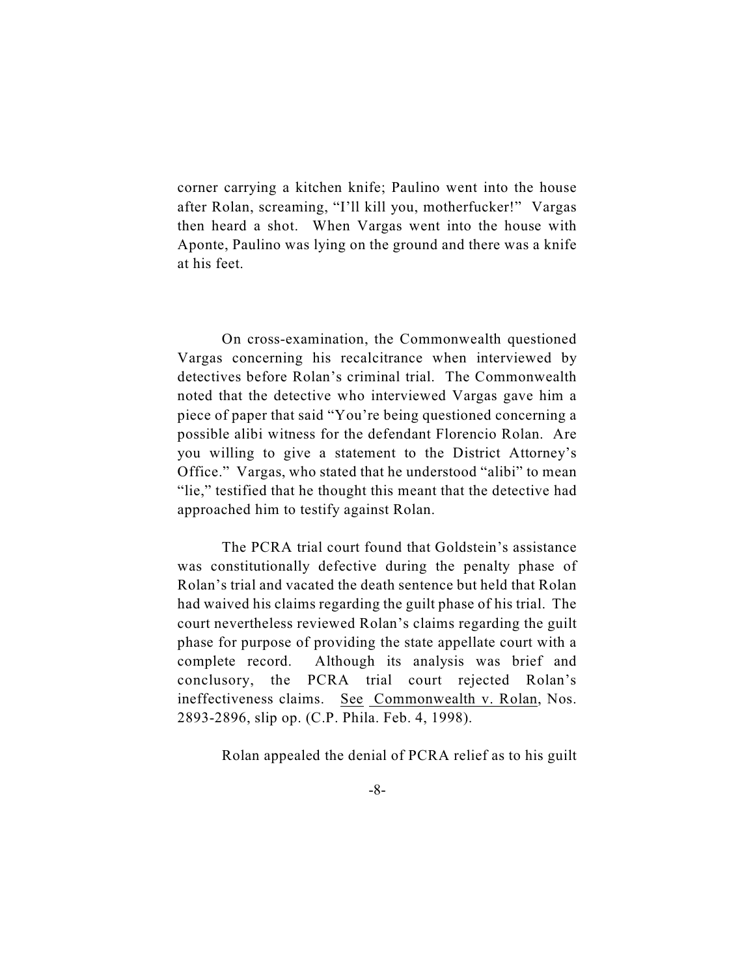corner carrying a kitchen knife; Paulino went into the house after Rolan, screaming, "I'll kill you, motherfucker!" Vargas then heard a shot. When Vargas went into the house with Aponte, Paulino was lying on the ground and there was a knife at his feet.

On cross-examination, the Commonwealth questioned Vargas concerning his recalcitrance when interviewed by detectives before Rolan's criminal trial. The Commonwealth noted that the detective who interviewed Vargas gave him a piece of paper that said "You're being questioned concerning a possible alibi witness for the defendant Florencio Rolan. Are you willing to give a statement to the District Attorney's Office." Vargas, who stated that he understood "alibi" to mean "lie," testified that he thought this meant that the detective had approached him to testify against Rolan.

The PCRA trial court found that Goldstein's assistance was constitutionally defective during the penalty phase of Rolan's trial and vacated the death sentence but held that Rolan had waived his claims regarding the guilt phase of his trial. The court nevertheless reviewed Rolan's claims regarding the guilt phase for purpose of providing the state appellate court with a complete record. Although its analysis was brief and conclusory, the PCRA trial court rejected Rolan's ineffectiveness claims. See Commonwealth v. Rolan, Nos. 2893-2896, slip op. (C.P. Phila. Feb. 4, 1998).

Rolan appealed the denial of PCRA relief as to his guilt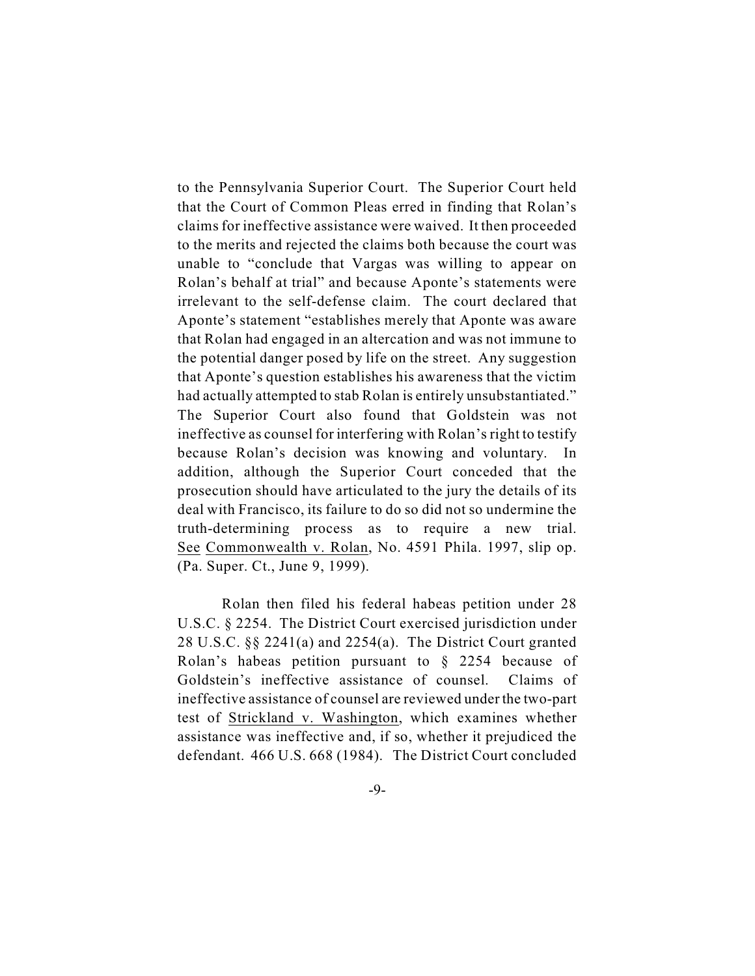to the Pennsylvania Superior Court. The Superior Court held that the Court of Common Pleas erred in finding that Rolan's claims for ineffective assistance were waived. It then proceeded to the merits and rejected the claims both because the court was unable to "conclude that Vargas was willing to appear on Rolan's behalf at trial" and because Aponte's statements were irrelevant to the self-defense claim. The court declared that Aponte's statement "establishes merely that Aponte was aware that Rolan had engaged in an altercation and was not immune to the potential danger posed by life on the street. Any suggestion that Aponte's question establishes his awareness that the victim had actually attempted to stab Rolan is entirely unsubstantiated." The Superior Court also found that Goldstein was not ineffective as counsel for interfering with Rolan's right to testify because Rolan's decision was knowing and voluntary. In addition, although the Superior Court conceded that the prosecution should have articulated to the jury the details of its deal with Francisco, its failure to do so did not so undermine the truth-determining process as to require a new trial. See Commonwealth v. Rolan, No. 4591 Phila. 1997, slip op. (Pa. Super. Ct., June 9, 1999).

Rolan then filed his federal habeas petition under 28 U.S.C. § 2254. The District Court exercised jurisdiction under 28 U.S.C. §§ 2241(a) and 2254(a). The District Court granted Rolan's habeas petition pursuant to § 2254 because of Goldstein's ineffective assistance of counsel. Claims of ineffective assistance of counsel are reviewed under the two-part test of Strickland v. Washington, which examines whether assistance was ineffective and, if so, whether it prejudiced the defendant. 466 U.S. 668 (1984). The District Court concluded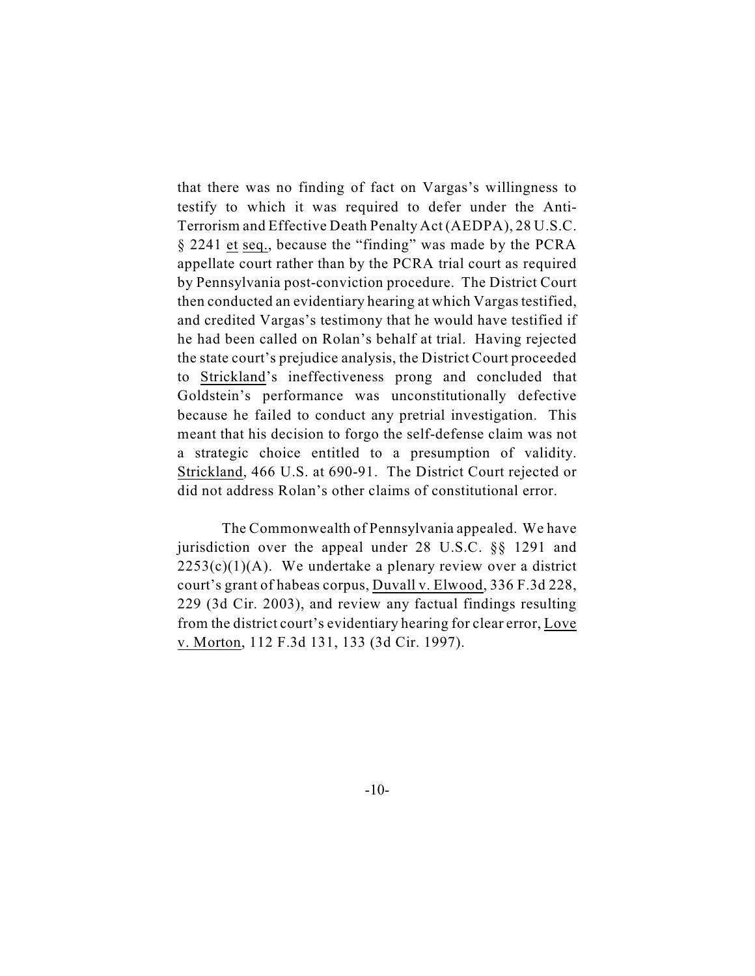that there was no finding of fact on Vargas's willingness to testify to which it was required to defer under the Anti-Terrorism and Effective Death Penalty Act (AEDPA), 28 U.S.C. § 2241 et seq., because the "finding" was made by the PCRA appellate court rather than by the PCRA trial court as required by Pennsylvania post-conviction procedure. The District Court then conducted an evidentiary hearing at which Vargas testified, and credited Vargas's testimony that he would have testified if he had been called on Rolan's behalf at trial. Having rejected the state court's prejudice analysis, the District Court proceeded to Strickland's ineffectiveness prong and concluded that Goldstein's performance was unconstitutionally defective because he failed to conduct any pretrial investigation. This meant that his decision to forgo the self-defense claim was not a strategic choice entitled to a presumption of validity. Strickland, 466 U.S. at 690-91. The District Court rejected or did not address Rolan's other claims of constitutional error.

The Commonwealth of Pennsylvania appealed. We have jurisdiction over the appeal under 28 U.S.C. §§ 1291 and  $2253(c)(1)(A)$ . We undertake a plenary review over a district court's grant of habeas corpus, Duvall v. Elwood, 336 F.3d 228, 229 (3d Cir. 2003), and review any factual findings resulting from the district court's evidentiary hearing for clear error, Love v. Morton, 112 F.3d 131, 133 (3d Cir. 1997).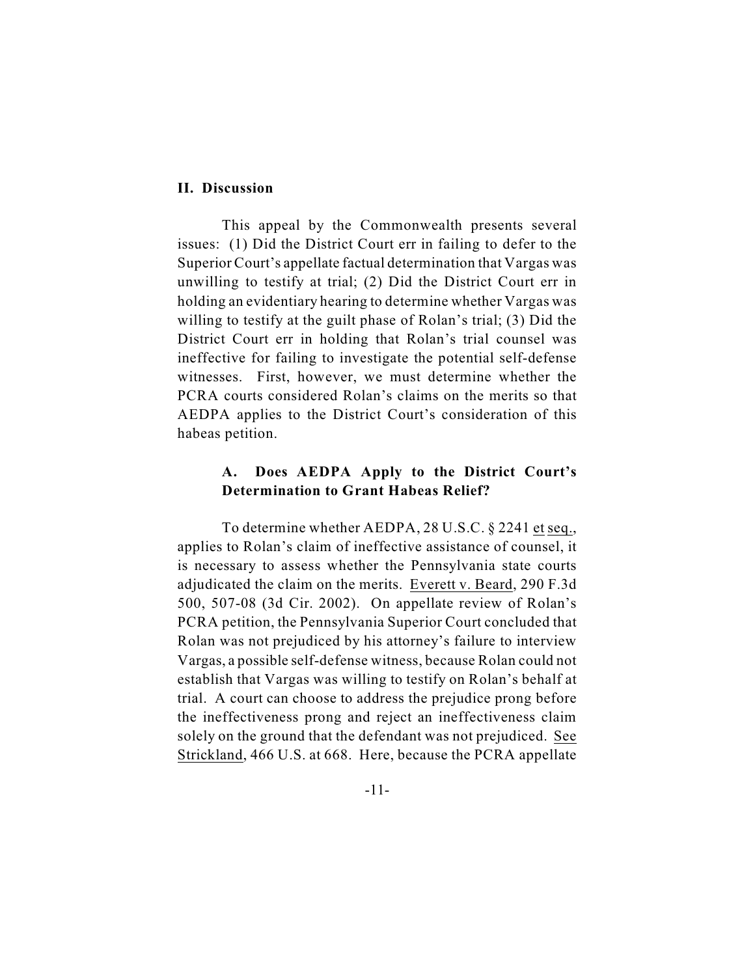#### **II. Discussion**

This appeal by the Commonwealth presents several issues: (1) Did the District Court err in failing to defer to the Superior Court's appellate factual determination that Vargas was unwilling to testify at trial; (2) Did the District Court err in holding an evidentiary hearing to determine whether Vargas was willing to testify at the guilt phase of Rolan's trial; (3) Did the District Court err in holding that Rolan's trial counsel was ineffective for failing to investigate the potential self-defense witnesses. First, however, we must determine whether the PCRA courts considered Rolan's claims on the merits so that AEDPA applies to the District Court's consideration of this habeas petition.

## **A. Does AEDPA Apply to the District Court's Determination to Grant Habeas Relief?**

To determine whether AEDPA, 28 U.S.C. § 2241 et seq., applies to Rolan's claim of ineffective assistance of counsel, it is necessary to assess whether the Pennsylvania state courts adjudicated the claim on the merits. Everett v. Beard, 290 F.3d 500, 507-08 (3d Cir. 2002). On appellate review of Rolan's PCRA petition, the Pennsylvania Superior Court concluded that Rolan was not prejudiced by his attorney's failure to interview Vargas, a possible self-defense witness, because Rolan could not establish that Vargas was willing to testify on Rolan's behalf at trial. A court can choose to address the prejudice prong before the ineffectiveness prong and reject an ineffectiveness claim solely on the ground that the defendant was not prejudiced. See Strickland, 466 U.S. at 668. Here, because the PCRA appellate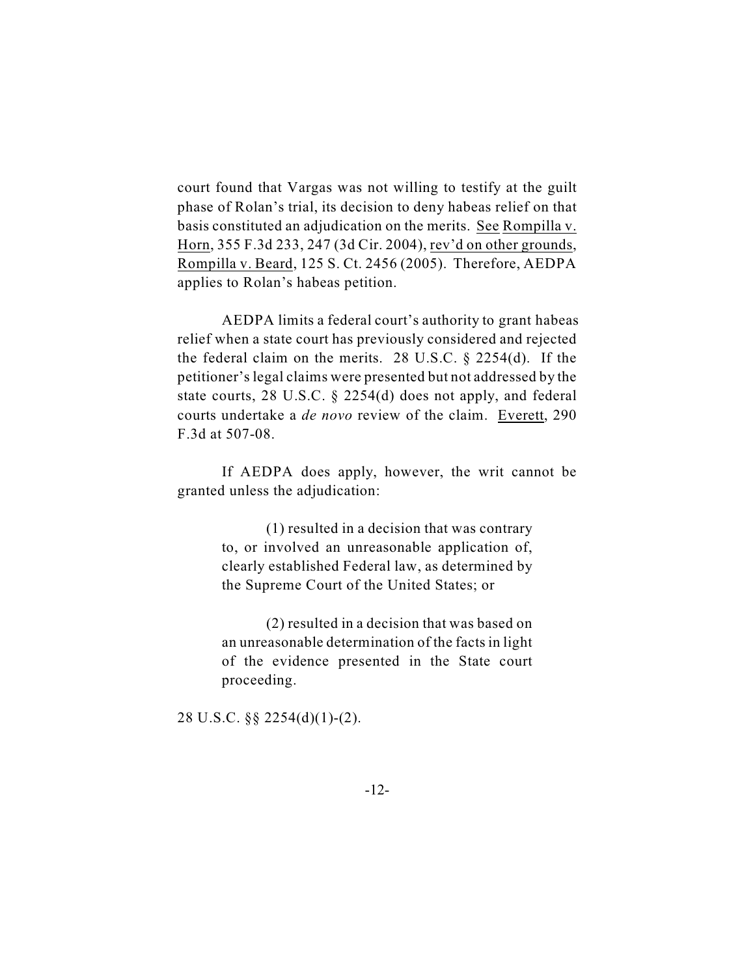court found that Vargas was not willing to testify at the guilt phase of Rolan's trial, its decision to deny habeas relief on that basis constituted an adjudication on the merits. See Rompilla v. Horn, 355 F.3d 233, 247 (3d Cir. 2004), rev'd on other grounds, Rompilla v. Beard, 125 S. Ct. 2456 (2005). Therefore, AEDPA applies to Rolan's habeas petition.

 AEDPA limits a federal court's authority to grant habeas relief when a state court has previously considered and rejected the federal claim on the merits. 28 U.S.C. § 2254(d). If the petitioner's legal claims were presented but not addressed by the state courts, 28 U.S.C. § 2254(d) does not apply, and federal courts undertake a *de novo* review of the claim. Everett, 290 F.3d at 507-08.

If AEDPA does apply, however, the writ cannot be granted unless the adjudication:

> (1) resulted in a decision that was contrary to, or involved an unreasonable application of, clearly established Federal law, as determined by the Supreme Court of the United States; or

> (2) resulted in a decision that was based on an unreasonable determination of the facts in light of the evidence presented in the State court proceeding.

28 U.S.C. §§ 2254(d)(1)-(2).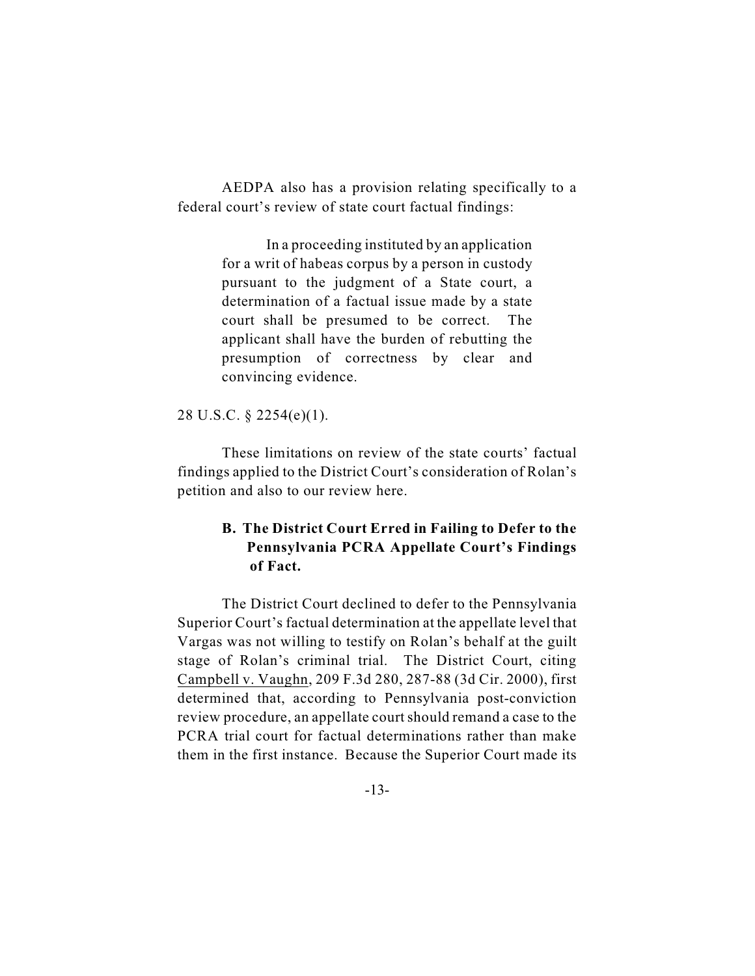AEDPA also has a provision relating specifically to a federal court's review of state court factual findings:

> In a proceeding instituted by an application for a writ of habeas corpus by a person in custody pursuant to the judgment of a State court, a determination of a factual issue made by a state court shall be presumed to be correct. The applicant shall have the burden of rebutting the presumption of correctness by clear and convincing evidence.

28 U.S.C. § 2254(e)(1).

These limitations on review of the state courts' factual findings applied to the District Court's consideration of Rolan's petition and also to our review here.

# **B. The District Court Erred in Failing to Defer to the Pennsylvania PCRA Appellate Court's Findings of Fact.**

The District Court declined to defer to the Pennsylvania Superior Court's factual determination at the appellate level that Vargas was not willing to testify on Rolan's behalf at the guilt stage of Rolan's criminal trial. The District Court, citing Campbell v. Vaughn, 209 F.3d 280, 287-88 (3d Cir. 2000), first determined that, according to Pennsylvania post-conviction review procedure, an appellate court should remand a case to the PCRA trial court for factual determinations rather than make them in the first instance. Because the Superior Court made its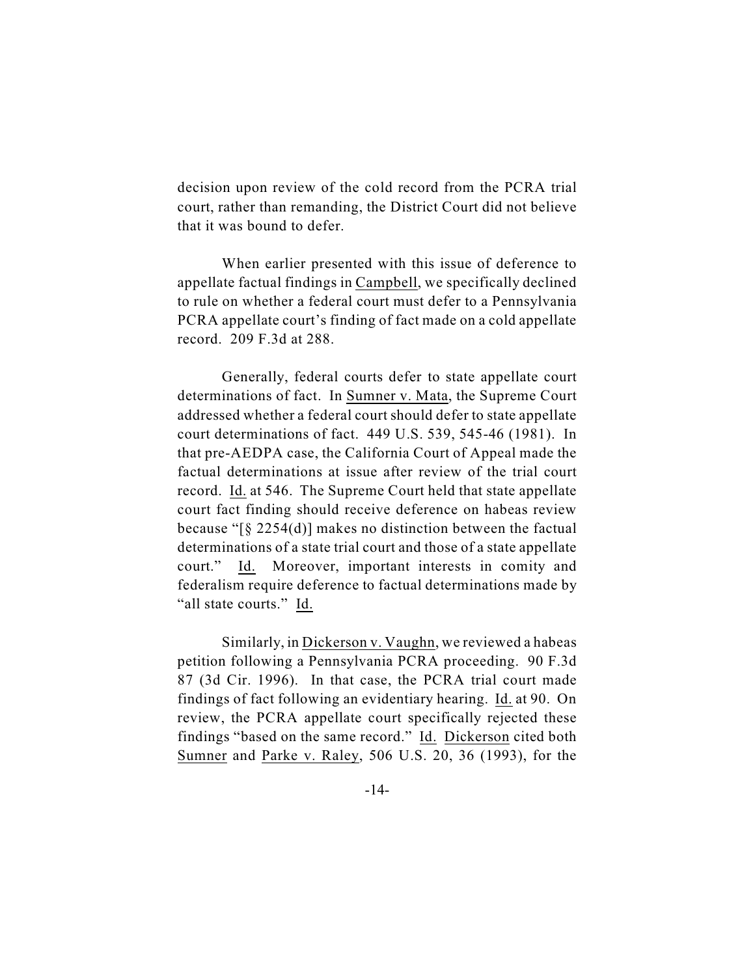decision upon review of the cold record from the PCRA trial court, rather than remanding, the District Court did not believe that it was bound to defer.

When earlier presented with this issue of deference to appellate factual findings in Campbell, we specifically declined to rule on whether a federal court must defer to a Pennsylvania PCRA appellate court's finding of fact made on a cold appellate record. 209 F.3d at 288.

Generally, federal courts defer to state appellate court determinations of fact. In Sumner v. Mata, the Supreme Court addressed whether a federal court should defer to state appellate court determinations of fact. 449 U.S. 539, 545-46 (1981). In that pre-AEDPA case, the California Court of Appeal made the factual determinations at issue after review of the trial court record. Id. at 546. The Supreme Court held that state appellate court fact finding should receive deference on habeas review because "[§ 2254(d)] makes no distinction between the factual determinations of a state trial court and those of a state appellate court." Id. Moreover, important interests in comity and federalism require deference to factual determinations made by "all state courts." Id.

Similarly, in Dickerson v. Vaughn, we reviewed a habeas petition following a Pennsylvania PCRA proceeding. 90 F.3d 87 (3d Cir. 1996). In that case, the PCRA trial court made findings of fact following an evidentiary hearing. Id. at 90. On review, the PCRA appellate court specifically rejected these findings "based on the same record." Id. Dickerson cited both Sumner and Parke v. Raley, 506 U.S. 20, 36 (1993), for the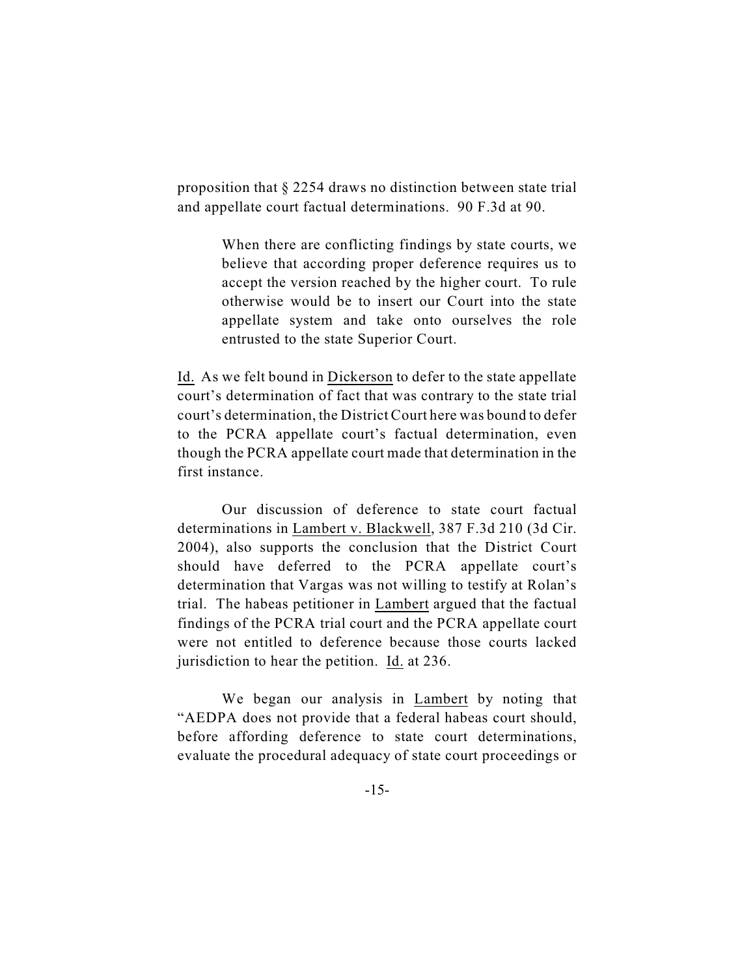proposition that § 2254 draws no distinction between state trial and appellate court factual determinations. 90 F.3d at 90.

> When there are conflicting findings by state courts, we believe that according proper deference requires us to accept the version reached by the higher court. To rule otherwise would be to insert our Court into the state appellate system and take onto ourselves the role entrusted to the state Superior Court.

Id. As we felt bound in Dickerson to defer to the state appellate court's determination of fact that was contrary to the state trial court's determination, the District Court here was bound to defer to the PCRA appellate court's factual determination, even though the PCRA appellate court made that determination in the first instance.

Our discussion of deference to state court factual determinations in Lambert v. Blackwell, 387 F.3d 210 (3d Cir. 2004), also supports the conclusion that the District Court should have deferred to the PCRA appellate court's determination that Vargas was not willing to testify at Rolan's trial. The habeas petitioner in Lambert argued that the factual findings of the PCRA trial court and the PCRA appellate court were not entitled to deference because those courts lacked jurisdiction to hear the petition. Id. at 236.

We began our analysis in Lambert by noting that "AEDPA does not provide that a federal habeas court should, before affording deference to state court determinations, evaluate the procedural adequacy of state court proceedings or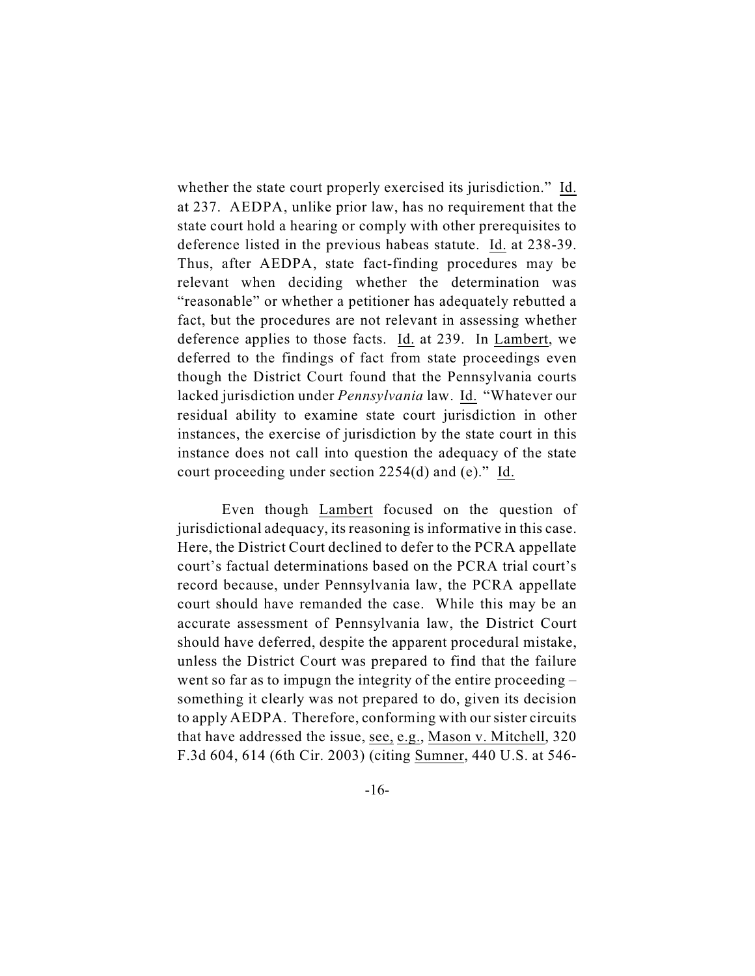whether the state court properly exercised its jurisdiction." Id. at 237. AEDPA, unlike prior law, has no requirement that the state court hold a hearing or comply with other prerequisites to deference listed in the previous habeas statute. Id. at 238-39. Thus, after AEDPA, state fact-finding procedures may be relevant when deciding whether the determination was "reasonable" or whether a petitioner has adequately rebutted a fact, but the procedures are not relevant in assessing whether deference applies to those facts. Id. at 239. In Lambert, we deferred to the findings of fact from state proceedings even though the District Court found that the Pennsylvania courts lacked jurisdiction under *Pennsylvania* law. Id. "Whatever our residual ability to examine state court jurisdiction in other instances, the exercise of jurisdiction by the state court in this instance does not call into question the adequacy of the state court proceeding under section 2254(d) and (e)." Id.

Even though Lambert focused on the question of jurisdictional adequacy, its reasoning is informative in this case. Here, the District Court declined to defer to the PCRA appellate court's factual determinations based on the PCRA trial court's record because, under Pennsylvania law, the PCRA appellate court should have remanded the case. While this may be an accurate assessment of Pennsylvania law, the District Court should have deferred, despite the apparent procedural mistake, unless the District Court was prepared to find that the failure went so far as to impugn the integrity of the entire proceeding – something it clearly was not prepared to do, given its decision to apply AEDPA. Therefore, conforming with our sister circuits that have addressed the issue, see, e.g., Mason v. Mitchell, 320 F.3d 604, 614 (6th Cir. 2003) (citing Sumner, 440 U.S. at 546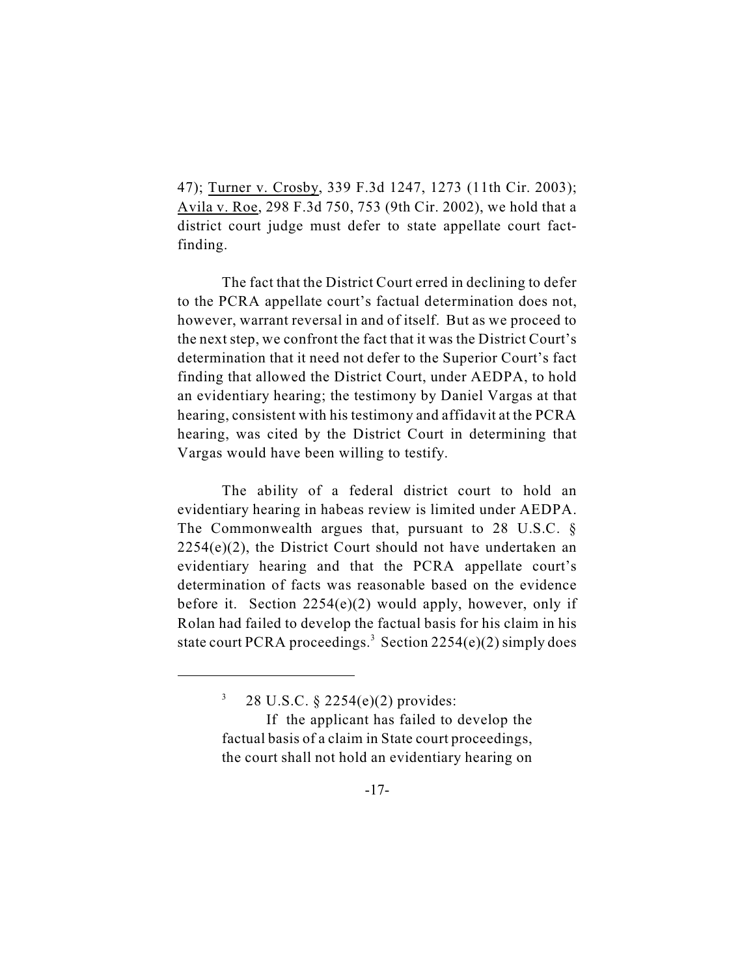47); Turner v. Crosby, 339 F.3d 1247, 1273 (11th Cir. 2003); Avila v. Roe, 298 F.3d 750, 753 (9th Cir. 2002), we hold that a district court judge must defer to state appellate court factfinding.

The fact that the District Court erred in declining to defer to the PCRA appellate court's factual determination does not, however, warrant reversal in and of itself. But as we proceed to the next step, we confront the fact that it was the District Court's determination that it need not defer to the Superior Court's fact finding that allowed the District Court, under AEDPA, to hold an evidentiary hearing; the testimony by Daniel Vargas at that hearing, consistent with his testimony and affidavit at the PCRA hearing, was cited by the District Court in determining that Vargas would have been willing to testify.

The ability of a federal district court to hold an evidentiary hearing in habeas review is limited under AEDPA. The Commonwealth argues that, pursuant to 28 U.S.C. §  $2254(e)(2)$ , the District Court should not have undertaken an evidentiary hearing and that the PCRA appellate court's determination of facts was reasonable based on the evidence before it. Section  $2254(e)(2)$  would apply, however, only if Rolan had failed to develop the factual basis for his claim in his state court PCRA proceedings.<sup>3</sup> Section 2254(e)(2) simply does

<sup>&</sup>lt;sup>3</sup> 28 U.S.C. § 2254(e)(2) provides:

If the applicant has failed to develop the factual basis of a claim in State court proceedings, the court shall not hold an evidentiary hearing on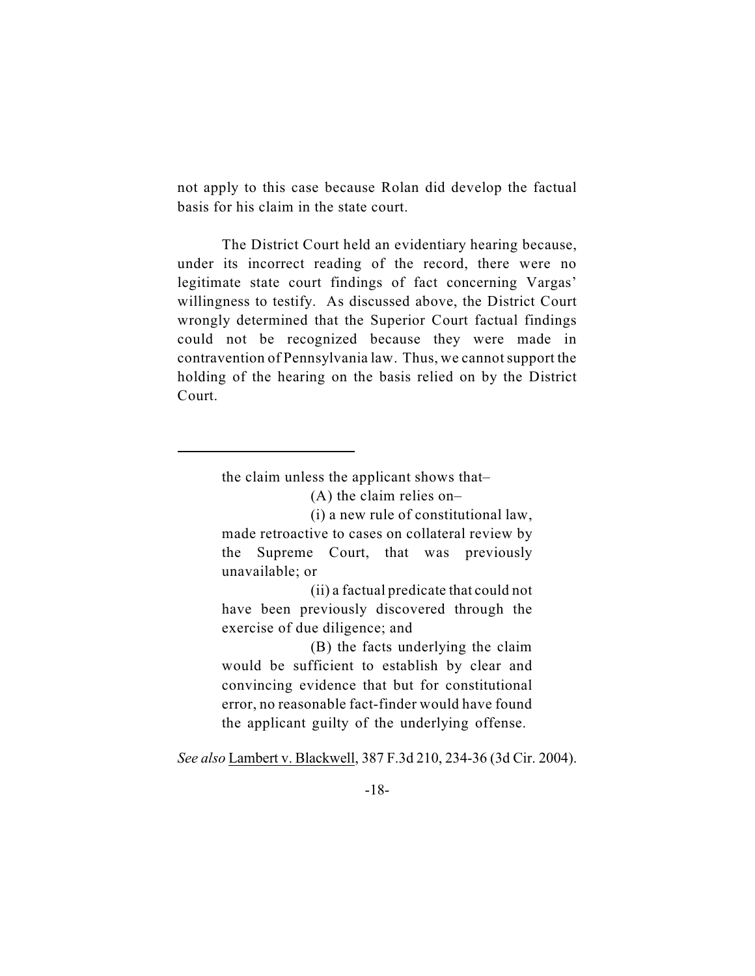not apply to this case because Rolan did develop the factual basis for his claim in the state court.

The District Court held an evidentiary hearing because, under its incorrect reading of the record, there were no legitimate state court findings of fact concerning Vargas' willingness to testify. As discussed above, the District Court wrongly determined that the Superior Court factual findings could not be recognized because they were made in contravention of Pennsylvania law. Thus, we cannot support the holding of the hearing on the basis relied on by the District Court.

the claim unless the applicant shows that–

(A) the claim relies on–

(i) a new rule of constitutional law, made retroactive to cases on collateral review by the Supreme Court, that was previously unavailable; or

(ii) a factual predicate that could not have been previously discovered through the exercise of due diligence; and

(B) the facts underlying the claim would be sufficient to establish by clear and convincing evidence that but for constitutional error, no reasonable fact-finder would have found the applicant guilty of the underlying offense.

*See also* Lambert v. Blackwell, 387 F.3d 210, 234-36 (3d Cir. 2004).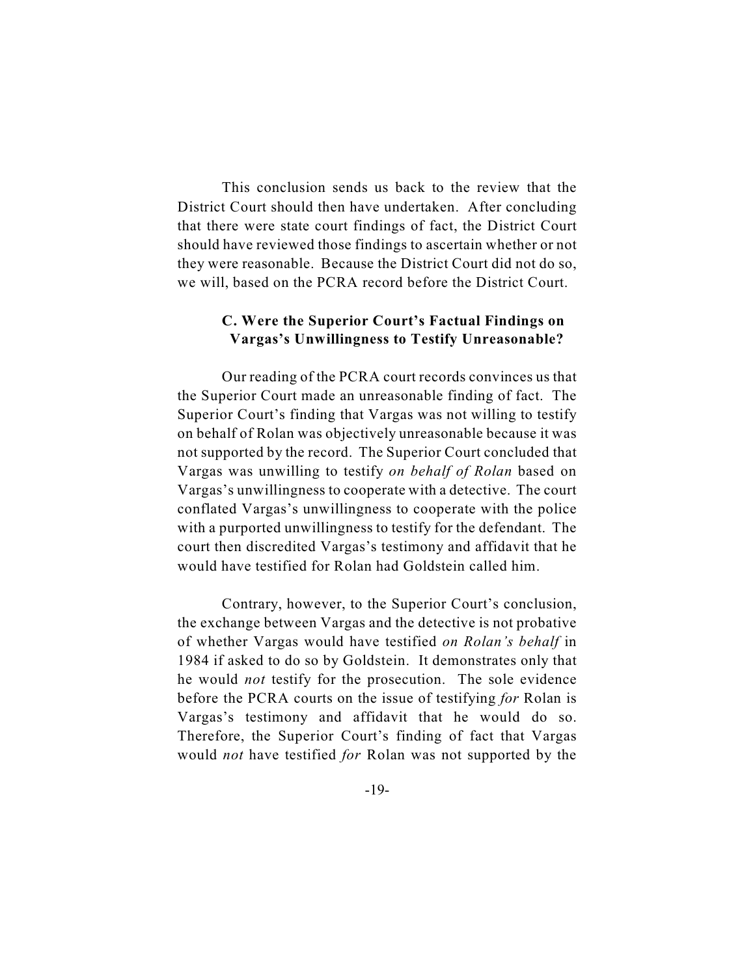This conclusion sends us back to the review that the District Court should then have undertaken. After concluding that there were state court findings of fact, the District Court should have reviewed those findings to ascertain whether or not they were reasonable. Because the District Court did not do so, we will, based on the PCRA record before the District Court.

## **C. Were the Superior Court's Factual Findings on Vargas's Unwillingness to Testify Unreasonable?**

Our reading of the PCRA court records convinces us that the Superior Court made an unreasonable finding of fact. The Superior Court's finding that Vargas was not willing to testify on behalf of Rolan was objectively unreasonable because it was not supported by the record. The Superior Court concluded that Vargas was unwilling to testify *on behalf of Rolan* based on Vargas's unwillingness to cooperate with a detective. The court conflated Vargas's unwillingness to cooperate with the police with a purported unwillingness to testify for the defendant. The court then discredited Vargas's testimony and affidavit that he would have testified for Rolan had Goldstein called him.

Contrary, however, to the Superior Court's conclusion, the exchange between Vargas and the detective is not probative of whether Vargas would have testified *on Rolan's behalf* in 1984 if asked to do so by Goldstein. It demonstrates only that he would *not* testify for the prosecution. The sole evidence before the PCRA courts on the issue of testifying *for* Rolan is Vargas's testimony and affidavit that he would do so. Therefore, the Superior Court's finding of fact that Vargas would *not* have testified *for* Rolan was not supported by the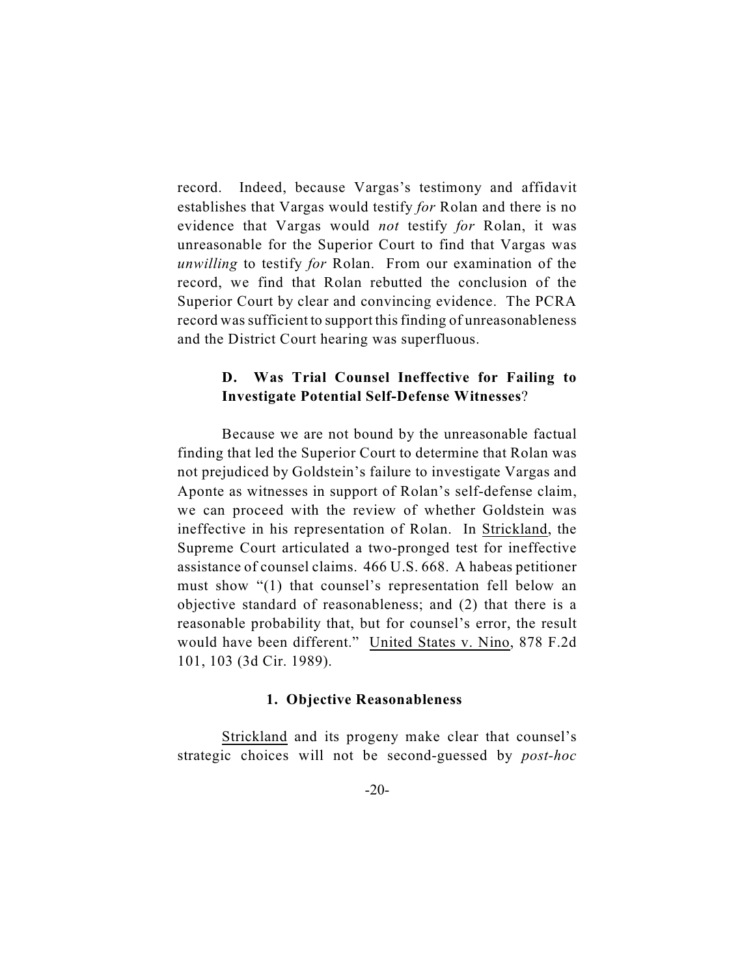record. Indeed, because Vargas's testimony and affidavit establishes that Vargas would testify *for* Rolan and there is no evidence that Vargas would *not* testify *for* Rolan, it was unreasonable for the Superior Court to find that Vargas was *unwilling* to testify *for* Rolan. From our examination of the record, we find that Rolan rebutted the conclusion of the Superior Court by clear and convincing evidence. The PCRA record was sufficient to support this finding of unreasonableness and the District Court hearing was superfluous.

## **D. Was Trial Counsel Ineffective for Failing to Investigate Potential Self-Defense Witnesses**?

Because we are not bound by the unreasonable factual finding that led the Superior Court to determine that Rolan was not prejudiced by Goldstein's failure to investigate Vargas and Aponte as witnesses in support of Rolan's self-defense claim, we can proceed with the review of whether Goldstein was ineffective in his representation of Rolan. In Strickland, the Supreme Court articulated a two-pronged test for ineffective assistance of counsel claims. 466 U.S. 668. A habeas petitioner must show "(1) that counsel's representation fell below an objective standard of reasonableness; and (2) that there is a reasonable probability that, but for counsel's error, the result would have been different." United States v. Nino, 878 F.2d 101, 103 (3d Cir. 1989).

### **1. Objective Reasonableness**

Strickland and its progeny make clear that counsel's strategic choices will not be second-guessed by *post-hoc*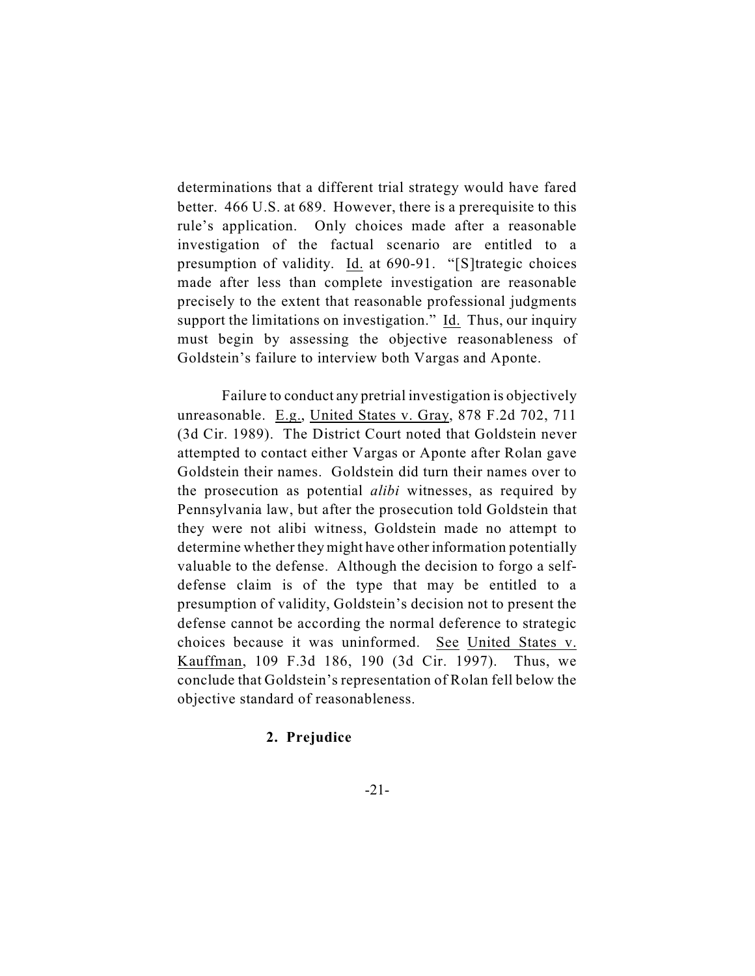determinations that a different trial strategy would have fared better. 466 U.S. at 689. However, there is a prerequisite to this rule's application. Only choices made after a reasonable investigation of the factual scenario are entitled to a presumption of validity. Id. at 690-91. "[S]trategic choices made after less than complete investigation are reasonable precisely to the extent that reasonable professional judgments support the limitations on investigation." Id. Thus, our inquiry must begin by assessing the objective reasonableness of Goldstein's failure to interview both Vargas and Aponte.

Failure to conduct any pretrial investigation is objectively unreasonable. E.g., United States v. Gray, 878 F.2d 702, 711 (3d Cir. 1989). The District Court noted that Goldstein never attempted to contact either Vargas or Aponte after Rolan gave Goldstein their names. Goldstein did turn their names over to the prosecution as potential *alibi* witnesses, as required by Pennsylvania law, but after the prosecution told Goldstein that they were not alibi witness, Goldstein made no attempt to determine whether they might have other information potentially valuable to the defense. Although the decision to forgo a selfdefense claim is of the type that may be entitled to a presumption of validity, Goldstein's decision not to present the defense cannot be according the normal deference to strategic choices because it was uninformed. See United States v. Kauffman, 109 F.3d 186, 190 (3d Cir. 1997). Thus, we conclude that Goldstein's representation of Rolan fell below the objective standard of reasonableness.

### **2. Prejudice**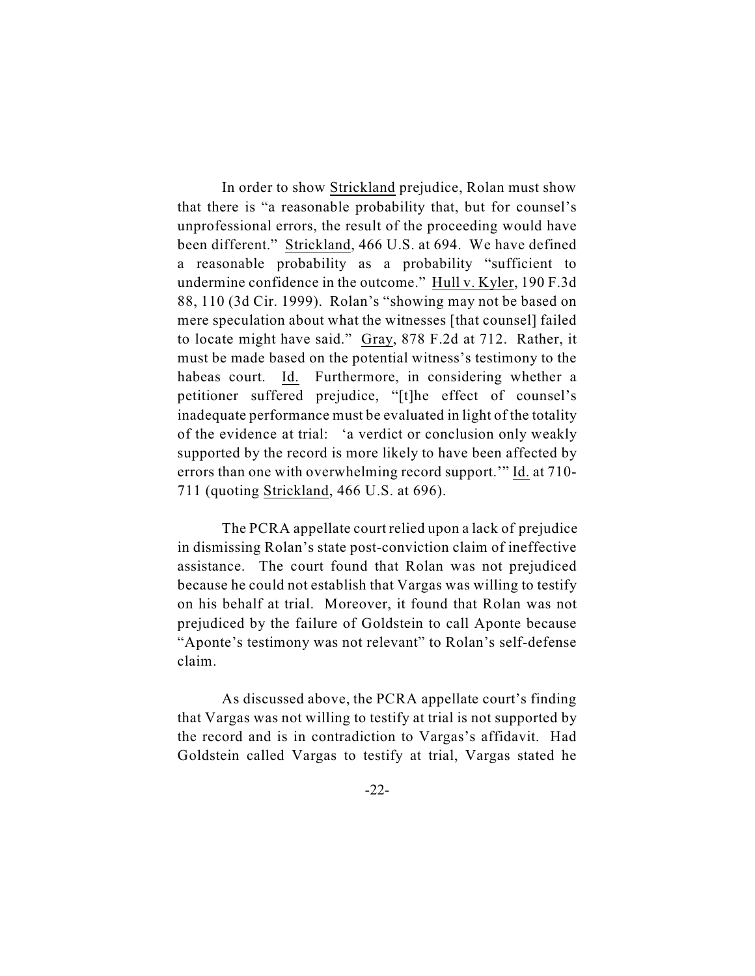In order to show Strickland prejudice, Rolan must show that there is "a reasonable probability that, but for counsel's unprofessional errors, the result of the proceeding would have been different." Strickland, 466 U.S. at 694. We have defined a reasonable probability as a probability "sufficient to undermine confidence in the outcome." Hull v. Kyler, 190 F.3d 88, 110 (3d Cir. 1999). Rolan's "showing may not be based on mere speculation about what the witnesses [that counsel] failed to locate might have said." Gray, 878 F.2d at 712. Rather, it must be made based on the potential witness's testimony to the habeas court. Id. Furthermore, in considering whether a petitioner suffered prejudice, "[t]he effect of counsel's inadequate performance must be evaluated in light of the totality of the evidence at trial: 'a verdict or conclusion only weakly supported by the record is more likely to have been affected by errors than one with overwhelming record support.'" Id. at 710- 711 (quoting Strickland, 466 U.S. at 696).

The PCRA appellate court relied upon a lack of prejudice in dismissing Rolan's state post-conviction claim of ineffective assistance. The court found that Rolan was not prejudiced because he could not establish that Vargas was willing to testify on his behalf at trial. Moreover, it found that Rolan was not prejudiced by the failure of Goldstein to call Aponte because "Aponte's testimony was not relevant" to Rolan's self-defense claim.

As discussed above, the PCRA appellate court's finding that Vargas was not willing to testify at trial is not supported by the record and is in contradiction to Vargas's affidavit. Had Goldstein called Vargas to testify at trial, Vargas stated he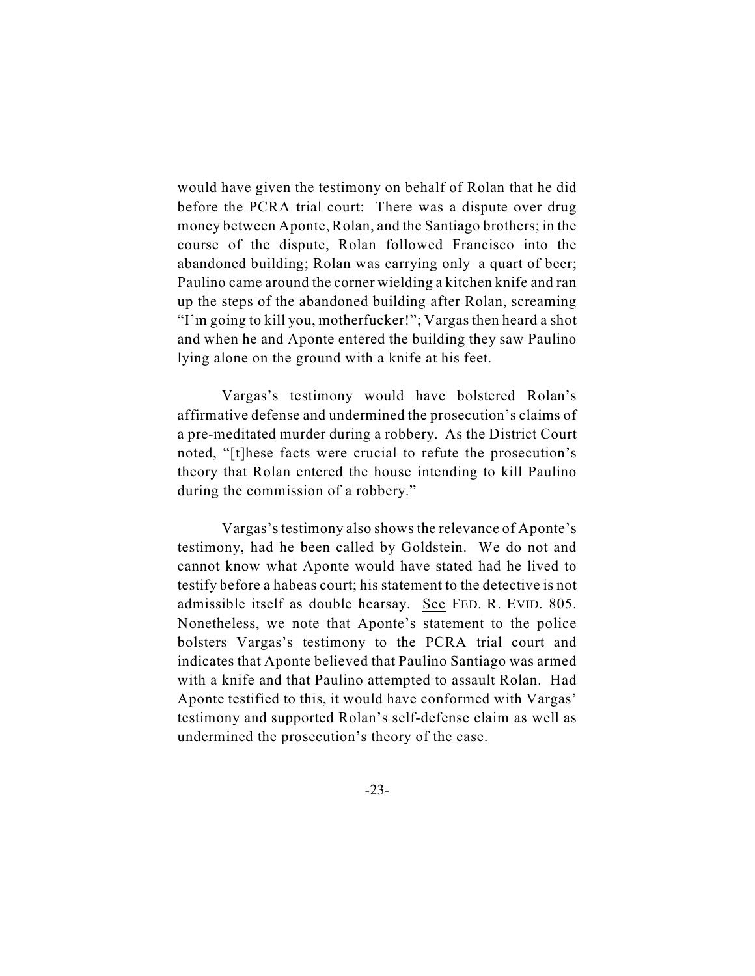would have given the testimony on behalf of Rolan that he did before the PCRA trial court: There was a dispute over drug money between Aponte, Rolan, and the Santiago brothers; in the course of the dispute, Rolan followed Francisco into the abandoned building; Rolan was carrying only a quart of beer; Paulino came around the corner wielding a kitchen knife and ran up the steps of the abandoned building after Rolan, screaming "I'm going to kill you, motherfucker!"; Vargas then heard a shot and when he and Aponte entered the building they saw Paulino lying alone on the ground with a knife at his feet.

Vargas's testimony would have bolstered Rolan's affirmative defense and undermined the prosecution's claims of a pre-meditated murder during a robbery. As the District Court noted, "[t]hese facts were crucial to refute the prosecution's theory that Rolan entered the house intending to kill Paulino during the commission of a robbery."

Vargas's testimony also shows the relevance of Aponte's testimony, had he been called by Goldstein. We do not and cannot know what Aponte would have stated had he lived to testify before a habeas court; his statement to the detective is not admissible itself as double hearsay. See FED. R. EVID. 805. Nonetheless, we note that Aponte's statement to the police bolsters Vargas's testimony to the PCRA trial court and indicates that Aponte believed that Paulino Santiago was armed with a knife and that Paulino attempted to assault Rolan. Had Aponte testified to this, it would have conformed with Vargas' testimony and supported Rolan's self-defense claim as well as undermined the prosecution's theory of the case.